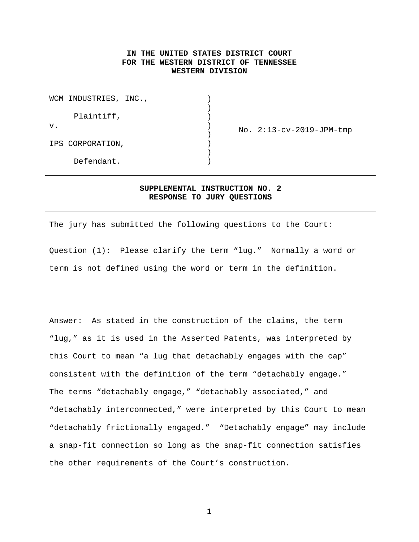## **IN THE UNITED STATES DISTRICT COURT FOR THE WESTERN DISTRICT OF TENNESSEE WESTERN DIVISION**

|    | WCM INDUSTRIES, INC., |  |                          |
|----|-----------------------|--|--------------------------|
|    | Plaintiff,            |  |                          |
| V. |                       |  | No. 2:13-cv-2019-JPM-tmp |
|    | IPS CORPORATION,      |  |                          |
|    | Defendant.            |  |                          |

## **SUPPLEMENTAL INSTRUCTION NO. 2 RESPONSE TO JURY QUESTIONS**

The jury has submitted the following questions to the Court: Question (1): Please clarify the term "lug." Normally a word or term is not defined using the word or term in the definition.

Answer: As stated in the construction of the claims, the term "lug," as it is used in the Asserted Patents, was interpreted by this Court to mean "a lug that detachably engages with the cap" consistent with the definition of the term "detachably engage." The terms "detachably engage," "detachably associated," and "detachably interconnected," were interpreted by this Court to mean "detachably frictionally engaged." "Detachably engage" may include a snap-fit connection so long as the snap-fit connection satisfies the other requirements of the Court's construction.

1